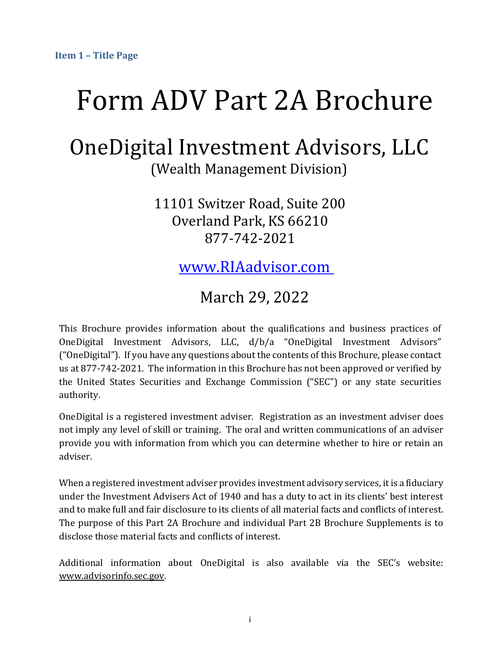# <span id="page-0-0"></span>Form ADV Part 2A Brochure

## OneDigital Investment Advisors, LLC (Wealth Management Division)

11101 Switzer Road, Suite 200 Overland Park, KS 66210 877-742-2021

www.RIAadvisor.com

## March 29, 2022

This Brochure provides information about the qualifications and business practices of OneDigital Investment Advisors, LLC, d/b/a "OneDigital Investment Advisors" ("OneDigital"). If you have any questions about the contents of this Brochure, please contact us at 877-742-2021. The information in this Brochure has not been approved or verified by the United States Securities and Exchange Commission ("SEC") or any state securities authority.

OneDigital is a registered investment adviser. Registration as an investment adviser does not imply any level of skill or training. The oral and written communications of an adviser provide you with information from which you can determine whether to hire or retain an adviser.

When a registered investment adviser provides investment advisory services, it is a fiduciary under the Investment Advisers Act of 1940 and has a duty to act in its clients' best interest and to make full and fair disclosure to its clients of all material facts and conflicts of interest. The purpose of this Part 2A Brochure and individual Part 2B Brochure Supplements is to disclose those material facts and conflicts of interest.

Additional information about OneDigital is also available via the SEC's website: [www.advisorinfo.sec.gov.](http://www.adviserinfo.sec.gov/)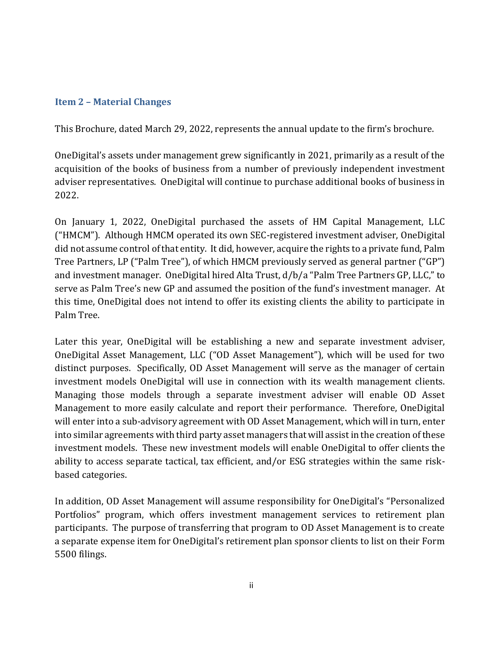#### <span id="page-1-0"></span>**Item 2 – Material Changes**

This Brochure, dated March 29, 2022, represents the annual update to the firm's brochure.

OneDigital's assets under management grew significantly in 2021, primarily as a result of the acquisition of the books of business from a number of previously independent investment adviser representatives. OneDigital will continue to purchase additional books of business in 2022.

On January 1, 2022, OneDigital purchased the assets of HM Capital Management, LLC ("HMCM"). Although HMCM operated its own SEC-registered investment adviser, OneDigital did not assume control of that entity. It did, however, acquire the rights to a private fund, Palm Tree Partners, LP ("Palm Tree"), of which HMCM previously served as general partner ("GP") and investment manager. OneDigital hired Alta Trust, d/b/a "Palm Tree Partners GP, LLC," to serve as Palm Tree's new GP and assumed the position of the fund's investment manager. At this time, OneDigital does not intend to offer its existing clients the ability to participate in Palm Tree.

Later this year, OneDigital will be establishing a new and separate investment adviser, OneDigital Asset Management, LLC ("OD Asset Management"), which will be used for two distinct purposes. Specifically, OD Asset Management will serve as the manager of certain investment models OneDigital will use in connection with its wealth management clients. Managing those models through a separate investment adviser will enable OD Asset Management to more easily calculate and report their performance. Therefore, OneDigital will enter into a sub-advisory agreement with OD Asset Management, which will in turn, enter into similar agreements with third party asset managers that will assist in the creation of these investment models. These new investment models will enable OneDigital to offer clients the ability to access separate tactical, tax efficient, and/or ESG strategies within the same riskbased categories.

In addition, OD Asset Management will assume responsibility for OneDigital's "Personalized Portfolios" program, which offers investment management services to retirement plan participants. The purpose of transferring that program to OD Asset Management is to create a separate expense item for OneDigital's retirement plan sponsor clients to list on their Form 5500 filings.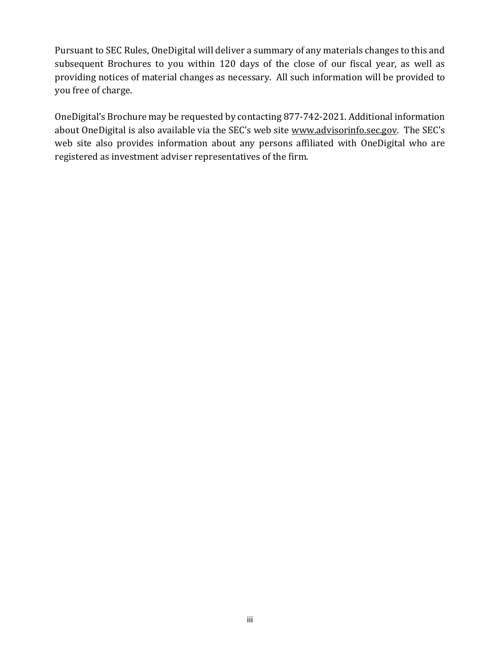Pursuant to SEC Rules, OneDigital will deliver a summary of any materials changes to this and subsequent Brochures to you within 120 days of the close of our fiscal year, as well as providing notices of material changes as necessary. All such information will be provided to you free of charge.

OneDigital's Brochure may be requested by contacting 877-742-2021. Additional information about OneDigital is also available via the SEC's web site [www.advisorinfo.sec.gov.](http://www.adviserinfo.sec.gov/) The SEC's web site also provides information about any persons affiliated with OneDigital who are registered as investment adviser representatives of the firm.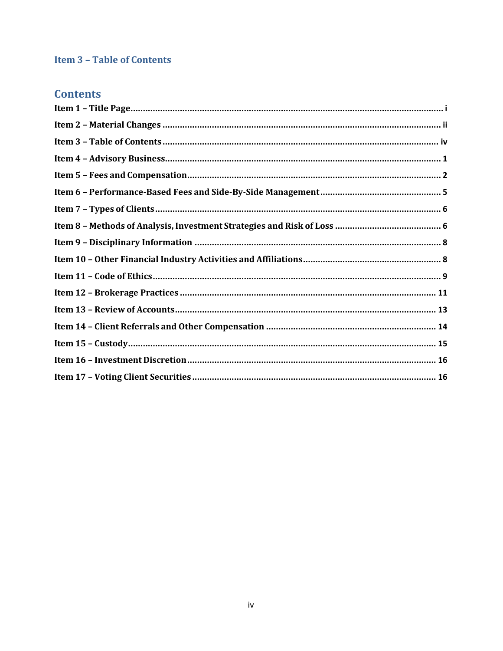#### <span id="page-3-0"></span>**Item 3 - Table of Contents**

### **Contents**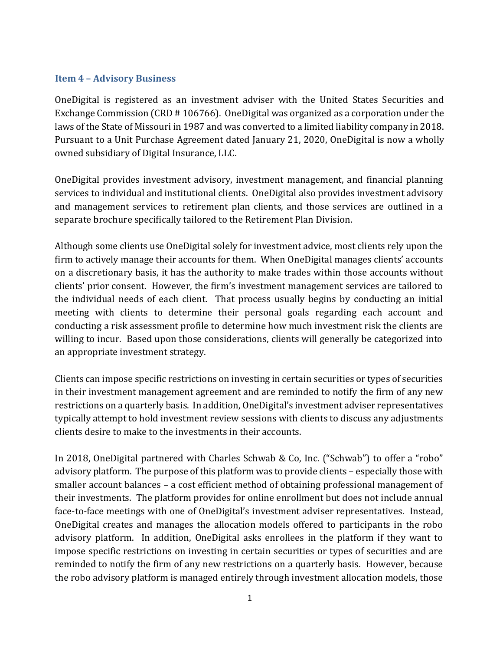#### <span id="page-4-0"></span>**Item 4 – Advisory Business**

OneDigital is registered as an investment adviser with the United States Securities and Exchange Commission (CRD # 106766). OneDigital was organized as a corporation under the laws of the State of Missouri in 1987 and was converted to a limited liability company in 2018. Pursuant to a Unit Purchase Agreement dated January 21, 2020, OneDigital is now a wholly owned subsidiary of Digital Insurance, LLC.

OneDigital provides investment advisory, investment management, and financial planning services to individual and institutional clients. OneDigital also provides investment advisory and management services to retirement plan clients, and those services are outlined in a separate brochure specifically tailored to the Retirement Plan Division.

Although some clients use OneDigital solely for investment advice, most clients rely upon the firm to actively manage their accounts for them. When OneDigital manages clients' accounts on a discretionary basis, it has the authority to make trades within those accounts without clients' prior consent. However, the firm's investment management services are tailored to the individual needs of each client. That process usually begins by conducting an initial meeting with clients to determine their personal goals regarding each account and conducting a risk assessment profile to determine how much investment risk the clients are willing to incur. Based upon those considerations, clients will generally be categorized into an appropriate investment strategy.

Clients can impose specific restrictions on investing in certain securities or types of securities in their investment management agreement and are reminded to notify the firm of any new restrictions on a quarterly basis. In addition, OneDigital's investment adviser representatives typically attempt to hold investment review sessions with clients to discuss any adjustments clients desire to make to the investments in their accounts.

In 2018, OneDigital partnered with Charles Schwab & Co, Inc. ("Schwab") to offer a "robo" advisory platform. The purpose of this platform was to provide clients – especially those with smaller account balances – a cost efficient method of obtaining professional management of their investments. The platform provides for online enrollment but does not include annual face-to-face meetings with one of OneDigital's investment adviser representatives. Instead, OneDigital creates and manages the allocation models offered to participants in the robo advisory platform. In addition, OneDigital asks enrollees in the platform if they want to impose specific restrictions on investing in certain securities or types of securities and are reminded to notify the firm of any new restrictions on a quarterly basis. However, because the robo advisory platform is managed entirely through investment allocation models, those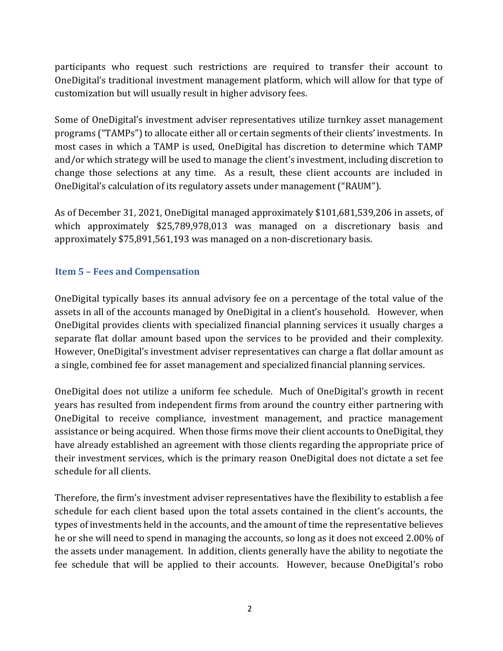participants who request such restrictions are required to transfer their account to OneDigital's traditional investment management platform, which will allow for that type of customization but will usually result in higher advisory fees.

Some of OneDigital's investment adviser representatives utilize turnkey asset management programs ("TAMPs") to allocate either all or certain segments of their clients' investments. In most cases in which a TAMP is used, OneDigital has discretion to determine which TAMP and/or which strategy will be used to manage the client's investment, including discretion to change those selections at any time. As a result, these client accounts are included in OneDigital's calculation of its regulatory assets under management ("RAUM").

As of December 31, 2021, OneDigital managed approximately \$101,681,539,206 in assets, of which approximately \$25,789,978,013 was managed on a discretionary basis and approximately \$75,891,561,193 was managed on a non-discretionary basis.

#### <span id="page-5-0"></span>**Item 5 – Fees and Compensation**

OneDigital typically bases its annual advisory fee on a percentage of the total value of the assets in all of the accounts managed by OneDigital in a client's household. However, when OneDigital provides clients with specialized financial planning services it usually charges a separate flat dollar amount based upon the services to be provided and their complexity. However, OneDigital's investment adviser representatives can charge a flat dollar amount as a single, combined fee for asset management and specialized financial planning services.

OneDigital does not utilize a uniform fee schedule. Much of OneDigital's growth in recent years has resulted from independent firms from around the country either partnering with OneDigital to receive compliance, investment management, and practice management assistance or being acquired. When those firms move their client accounts to OneDigital, they have already established an agreement with those clients regarding the appropriate price of their investment services, which is the primary reason OneDigital does not dictate a set fee schedule for all clients.

Therefore, the firm's investment adviser representatives have the flexibility to establish a fee schedule for each client based upon the total assets contained in the client's accounts, the types of investments held in the accounts, and the amount of time the representative believes he or she will need to spend in managing the accounts, so long as it does not exceed 2.00% of the assets under management. In addition, clients generally have the ability to negotiate the fee schedule that will be applied to their accounts. However, because OneDigital's robo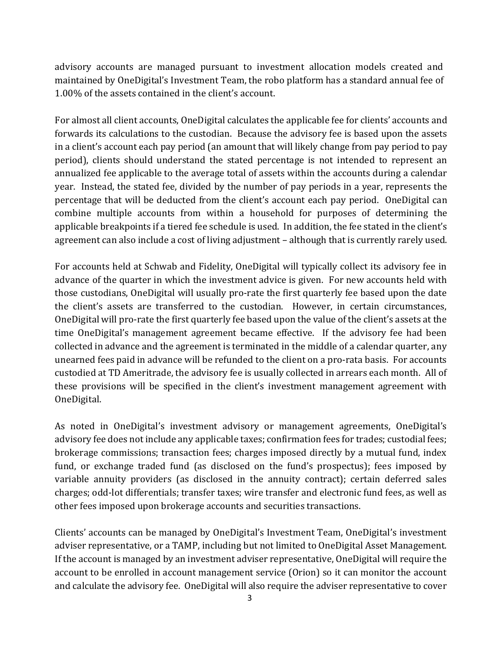advisory accounts are managed pursuant to investment allocation models created and maintained by OneDigital's Investment Team, the robo platform has a standard annual fee of 1.00% of the assets contained in the client's account.

For almost all client accounts, OneDigital calculates the applicable fee for clients' accounts and forwards its calculations to the custodian. Because the advisory fee is based upon the assets in a client's account each pay period (an amount that will likely change from pay period to pay period), clients should understand the stated percentage is not intended to represent an annualized fee applicable to the average total of assets within the accounts during a calendar year. Instead, the stated fee, divided by the number of pay periods in a year, represents the percentage that will be deducted from the client's account each pay period. OneDigital can combine multiple accounts from within a household for purposes of determining the applicable breakpoints if a tiered fee schedule is used. In addition, the fee stated in the client's agreement can also include a cost of living adjustment – although that is currently rarely used.

For accounts held at Schwab and Fidelity, OneDigital will typically collect its advisory fee in advance of the quarter in which the investment advice is given. For new accounts held with those custodians, OneDigital will usually pro-rate the first quarterly fee based upon the date the client's assets are transferred to the custodian. However, in certain circumstances, OneDigital will pro-rate the first quarterly fee based upon the value of the client's assets at the time OneDigital's management agreement became effective. If the advisory fee had been collected in advance and the agreement is terminated in the middle of a calendar quarter, any unearned fees paid in advance will be refunded to the client on a pro-rata basis. For accounts custodied at TD Ameritrade, the advisory fee is usually collected in arrears each month. All of these provisions will be specified in the client's investment management agreement with OneDigital.

As noted in OneDigital's investment advisory or management agreements, OneDigital's advisory fee does not include any applicable taxes; confirmation fees for trades; custodial fees; brokerage commissions; transaction fees; charges imposed directly by a mutual fund, index fund, or exchange traded fund (as disclosed on the fund's prospectus); fees imposed by variable annuity providers (as disclosed in the annuity contract); certain deferred sales charges; odd-lot differentials; transfer taxes; wire transfer and electronic fund fees, as well as other fees imposed upon brokerage accounts and securities transactions.

Clients' accounts can be managed by OneDigital's Investment Team, OneDigital's investment adviser representative, or a TAMP, including but not limited to OneDigital Asset Management. If the account is managed by an investment adviser representative, OneDigital will require the account to be enrolled in account management service (Orion) so it can monitor the account and calculate the advisory fee. OneDigital will also require the adviser representative to cover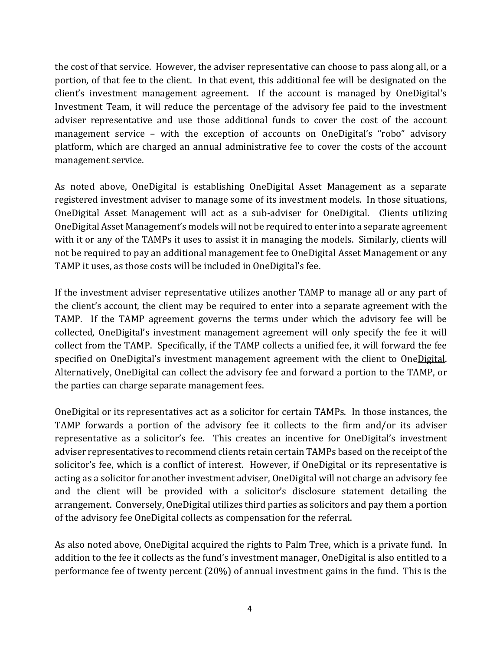the cost of that service. However, the adviser representative can choose to pass along all, or a portion, of that fee to the client. In that event, this additional fee will be designated on the client's investment management agreement. If the account is managed by OneDigital's Investment Team, it will reduce the percentage of the advisory fee paid to the investment adviser representative and use those additional funds to cover the cost of the account management service – with the exception of accounts on OneDigital's "robo" advisory platform, which are charged an annual administrative fee to cover the costs of the account management service.

As noted above, OneDigital is establishing OneDigital Asset Management as a separate registered investment adviser to manage some of its investment models. In those situations, OneDigital Asset Management will act as a sub-adviser for OneDigital. Clients utilizing OneDigital Asset Management's models will not be required to enter into a separate agreement with it or any of the TAMPs it uses to assist it in managing the models. Similarly, clients will not be required to pay an additional management fee to OneDigital Asset Management or any TAMP it uses, as those costs will be included in OneDigital's fee.

If the investment adviser representative utilizes another TAMP to manage all or any part of the client's account, the client may be required to enter into a separate agreement with the TAMP. If the TAMP agreement governs the terms under which the advisory fee will be collected, OneDigital's investment management agreement will only specify the fee it will collect from the TAMP. Specifically, if the TAMP collects a unified fee, it will forward the fee specified on OneDigital's investment management agreement with the client to OneDigital. Alternatively, OneDigital can collect the advisory fee and forward a portion to the TAMP, or the parties can charge separate management fees.

OneDigital or its representatives act as a solicitor for certain TAMPs. In those instances, the TAMP forwards a portion of the advisory fee it collects to the firm and/or its adviser representative as a solicitor's fee. This creates an incentive for OneDigital's investment adviser representatives to recommend clients retain certain TAMPs based on the receipt of the solicitor's fee, which is a conflict of interest. However, if OneDigital or its representative is acting as a solicitor for another investment adviser, OneDigital will not charge an advisory fee and the client will be provided with a solicitor's disclosure statement detailing the arrangement. Conversely, OneDigital utilizes third parties as solicitors and pay them a portion of the advisory fee OneDigital collects as compensation for the referral.

As also noted above, OneDigital acquired the rights to Palm Tree, which is a private fund. In addition to the fee it collects as the fund's investment manager, OneDigital is also entitled to a performance fee of twenty percent (20%) of annual investment gains in the fund. This is the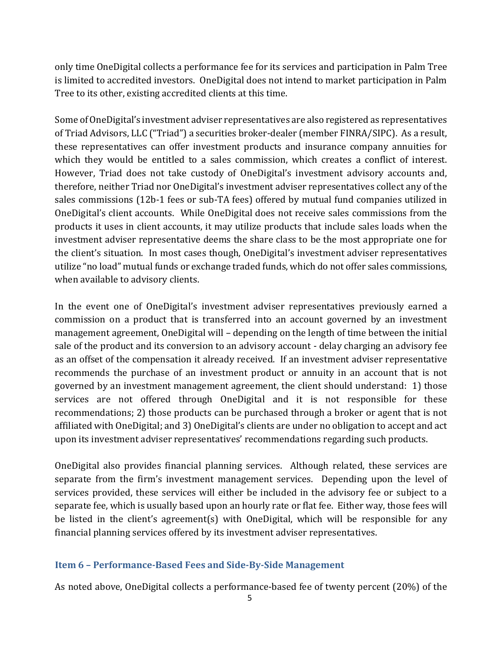only time OneDigital collects a performance fee for its services and participation in Palm Tree is limited to accredited investors. OneDigital does not intend to market participation in Palm Tree to its other, existing accredited clients at this time.

Some of OneDigital's investment adviser representatives are also registered as representatives of Triad Advisors, LLC ("Triad") a securities broker-dealer (member FINRA/SIPC). As a result, these representatives can offer investment products and insurance company annuities for which they would be entitled to a sales commission, which creates a conflict of interest. However, Triad does not take custody of OneDigital's investment advisory accounts and, therefore, neither Triad nor OneDigital's investment adviser representatives collect any of the sales commissions (12b-1 fees or sub-TA fees) offered by mutual fund companies utilized in OneDigital's client accounts. While OneDigital does not receive sales commissions from the products it uses in client accounts, it may utilize products that include sales loads when the investment adviser representative deems the share class to be the most appropriate one for the client's situation. In most cases though, OneDigital's investment adviser representatives utilize "no load" mutual funds or exchange traded funds, which do not offer sales commissions, when available to advisory clients.

In the event one of OneDigital's investment adviser representatives previously earned a commission on a product that is transferred into an account governed by an investment management agreement, OneDigital will – depending on the length of time between the initial sale of the product and its conversion to an advisory account - delay charging an advisory fee as an offset of the compensation it already received. If an investment adviser representative recommends the purchase of an investment product or annuity in an account that is not governed by an investment management agreement, the client should understand: 1) those services are not offered through OneDigital and it is not responsible for these recommendations; 2) those products can be purchased through a broker or agent that is not affiliated with OneDigital; and 3) OneDigital's clients are under no obligation to accept and act upon its investment adviser representatives' recommendations regarding such products.

OneDigital also provides financial planning services. Although related, these services are separate from the firm's investment management services. Depending upon the level of services provided, these services will either be included in the advisory fee or subject to a separate fee, which is usually based upon an hourly rate or flat fee. Either way, those fees will be listed in the client's agreement(s) with OneDigital, which will be responsible for any financial planning services offered by its investment adviser representatives.

#### <span id="page-8-0"></span>**Item 6 – Performance-Based Fees and Side-By-Side Management**

As noted above, OneDigital collects a performance‐based fee of twenty percent (20%) of the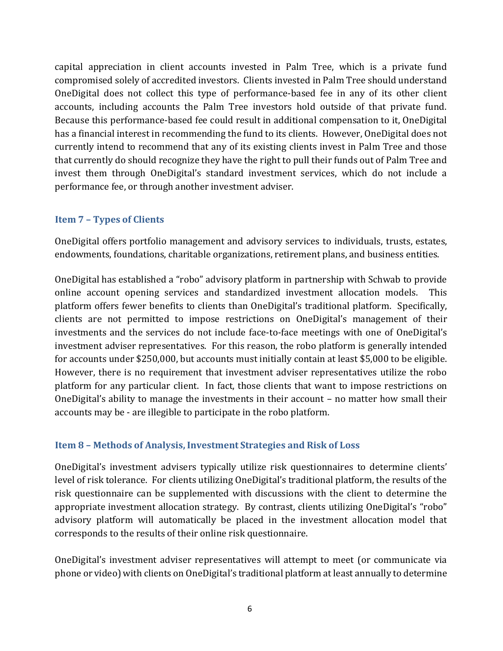capital appreciation in client accounts invested in Palm Tree, which is a private fund compromised solely of accredited investors. Clients invested in Palm Tree should understand OneDigital does not collect this type of performance-based fee in any of its other client accounts, including accounts the Palm Tree investors hold outside of that private fund. Because this performance-based fee could result in additional compensation to it, OneDigital has a financial interest in recommending the fund to its clients. However, OneDigital does not currently intend to recommend that any of its existing clients invest in Palm Tree and those that currently do should recognize they have the right to pull their funds out of Palm Tree and invest them through OneDigital's standard investment services, which do not include a performance fee, or through another investment adviser.

#### <span id="page-9-0"></span>**Item 7 – Types of Clients**

OneDigital offers portfolio management and advisory services to individuals, trusts, estates, endowments, foundations, charitable organizations, retirement plans, and business entities.

OneDigital has established a "robo" advisory platform in partnership with Schwab to provide online account opening services and standardized investment allocation models. This platform offers fewer benefits to clients than OneDigital's traditional platform. Specifically, clients are not permitted to impose restrictions on OneDigital's management of their investments and the services do not include face-to-face meetings with one of OneDigital's investment adviser representatives. For this reason, the robo platform is generally intended for accounts under \$250,000, but accounts must initially contain at least \$5,000 to be eligible. However, there is no requirement that investment adviser representatives utilize the robo platform for any particular client. In fact, those clients that want to impose restrictions on OneDigital's ability to manage the investments in their account – no matter how small their accounts may be - are illegible to participate in the robo platform.

#### <span id="page-9-1"></span>**Item 8 – Methods of Analysis, Investment Strategies and Risk of Loss**

OneDigital's investment advisers typically utilize risk questionnaires to determine clients' level of risk tolerance. For clients utilizing OneDigital's traditional platform, the results of the risk questionnaire can be supplemented with discussions with the client to determine the appropriate investment allocation strategy. By contrast, clients utilizing OneDigital's "robo" advisory platform will automatically be placed in the investment allocation model that corresponds to the results of their online risk questionnaire.

OneDigital's investment adviser representatives will attempt to meet (or communicate via phone or video) with clients on OneDigital's traditional platform at least annually to determine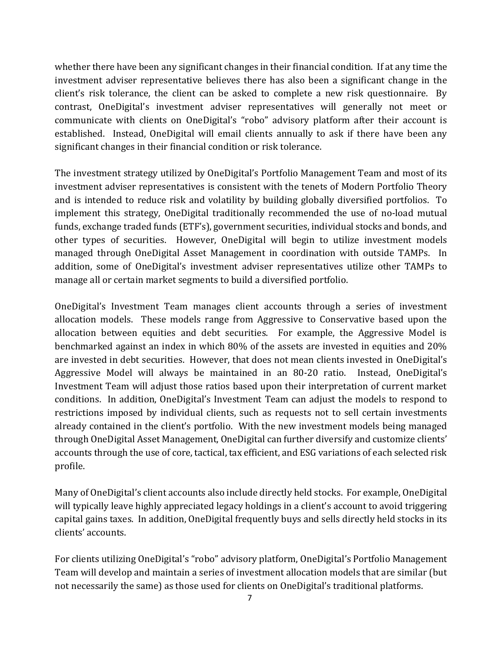whether there have been any significant changes in their financial condition. If at any time the investment adviser representative believes there has also been a significant change in the client's risk tolerance, the client can be asked to complete a new risk questionnaire. By contrast, OneDigital's investment adviser representatives will generally not meet or communicate with clients on OneDigital's "robo" advisory platform after their account is established. Instead, OneDigital will email clients annually to ask if there have been any significant changes in their financial condition or risk tolerance.

The investment strategy utilized by OneDigital's Portfolio Management Team and most of its investment adviser representatives is consistent with the tenets of Modern Portfolio Theory and is intended to reduce risk and volatility by building globally diversified portfolios. To implement this strategy, OneDigital traditionally recommended the use of no-load mutual funds, exchange traded funds (ETF's), government securities, individual stocks and bonds, and other types of securities. However, OneDigital will begin to utilize investment models managed through OneDigital Asset Management in coordination with outside TAMPs. In addition, some of OneDigital's investment adviser representatives utilize other TAMPs to manage all or certain market segments to build a diversified portfolio.

OneDigital's Investment Team manages client accounts through a series of investment allocation models. These models range from Aggressive to Conservative based upon the allocation between equities and debt securities. For example, the Aggressive Model is benchmarked against an index in which 80% of the assets are invested in equities and 20% are invested in debt securities. However, that does not mean clients invested in OneDigital's Aggressive Model will always be maintained in an 80-20 ratio. Instead, OneDigital's Investment Team will adjust those ratios based upon their interpretation of current market conditions. In addition, OneDigital's Investment Team can adjust the models to respond to restrictions imposed by individual clients, such as requests not to sell certain investments already contained in the client's portfolio. With the new investment models being managed through OneDigital Asset Management, OneDigital can further diversify and customize clients' accounts through the use of core, tactical, tax efficient, and ESG variations of each selected risk profile.

Many of OneDigital's client accounts also include directly held stocks. For example, OneDigital will typically leave highly appreciated legacy holdings in a client's account to avoid triggering capital gains taxes. In addition, OneDigital frequently buys and sells directly held stocks in its clients' accounts.

For clients utilizing OneDigital's "robo" advisory platform, OneDigital's Portfolio Management Team will develop and maintain a series of investment allocation models that are similar (but not necessarily the same) as those used for clients on OneDigital's traditional platforms.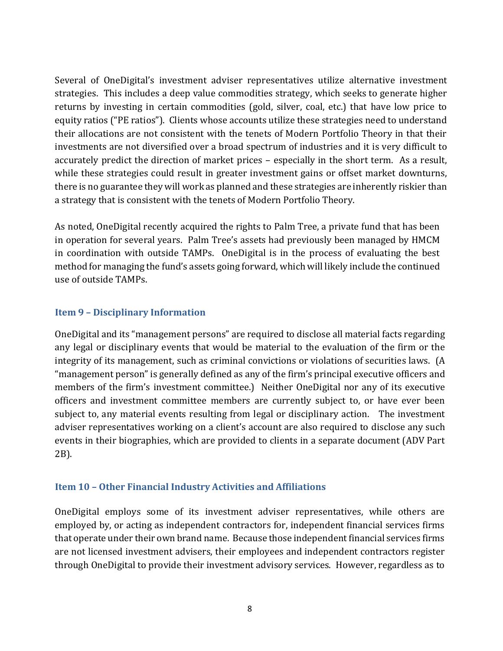Several of OneDigital's investment adviser representatives utilize alternative investment strategies. This includes a deep value commodities strategy, which seeks to generate higher returns by investing in certain commodities (gold, silver, coal, etc.) that have low price to equity ratios ("PE ratios"). Clients whose accounts utilize these strategies need to understand their allocations are not consistent with the tenets of Modern Portfolio Theory in that their investments are not diversified over a broad spectrum of industries and it is very difficult to accurately predict the direction of market prices – especially in the short term. As a result, while these strategies could result in greater investment gains or offset market downturns, there is no guarantee they will work as planned and these strategies are inherently riskier than a strategy that is consistent with the tenets of Modern Portfolio Theory.

As noted, OneDigital recently acquired the rights to Palm Tree, a private fund that has been in operation for several years. Palm Tree's assets had previously been managed by HMCM in coordination with outside TAMPs. OneDigital is in the process of evaluating the best method for managing the fund's assets going forward, which will likely include the continued use of outside TAMPs.

#### <span id="page-11-0"></span>**Item 9 – Disciplinary Information**

OneDigital and its "management persons" are required to disclose all material facts regarding any legal or disciplinary events that would be material to the evaluation of the firm or the integrity of its management, such as criminal convictions or violations of securities laws. (A "management person" is generally defined as any of the firm's principal executive officers and members of the firm's investment committee.) Neither OneDigital nor any of its executive officers and investment committee members are currently subject to, or have ever been subject to, any material events resulting from legal or disciplinary action. The investment adviser representatives working on a client's account are also required to disclose any such events in their biographies, which are provided to clients in a separate document (ADV Part 2B).

#### <span id="page-11-1"></span>**Item 10 – Other Financial Industry Activities and Affiliations**

OneDigital employs some of its investment adviser representatives, while others are employed by, or acting as independent contractors for, independent financial services firms that operate under their own brand name. Because those independent financial services firms are not licensed investment advisers, their employees and independent contractors register through OneDigital to provide their investment advisory services. However, regardless as to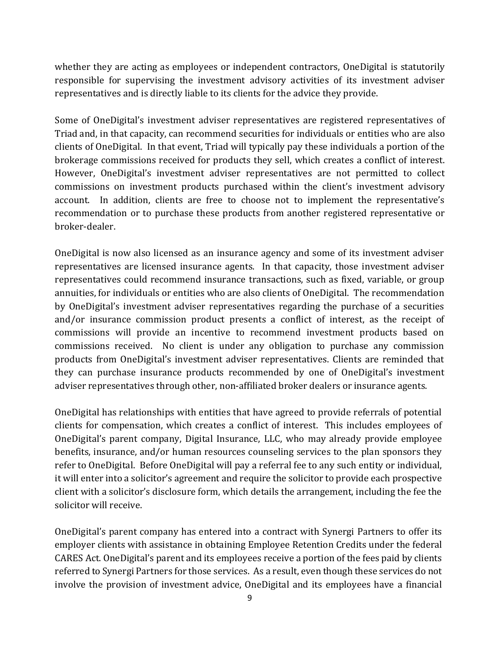whether they are acting as employees or independent contractors, OneDigital is statutorily responsible for supervising the investment advisory activities of its investment adviser representatives and is directly liable to its clients for the advice they provide.

Some of OneDigital's investment adviser representatives are registered representatives of Triad and, in that capacity, can recommend securities for individuals or entities who are also clients of OneDigital. In that event, Triad will typically pay these individuals a portion of the brokerage commissions received for products they sell, which creates a conflict of interest. However, OneDigital's investment adviser representatives are not permitted to collect commissions on investment products purchased within the client's investment advisory account. In addition, clients are free to choose not to implement the representative's recommendation or to purchase these products from another registered representative or broker-dealer.

<span id="page-12-0"></span>OneDigital is now also licensed as an insurance agency and some of its investment adviser representatives are licensed insurance agents. In that capacity, those investment adviser representatives could recommend insurance transactions, such as fixed, variable, or group annuities, for individuals or entities who are also clients of OneDigital. The recommendation by OneDigital's investment adviser representatives regarding the purchase of a securities and/or insurance commission product presents a conflict of interest, as the receipt of commissions will provide an incentive to recommend investment products based on commissions received. No client is under any obligation to purchase any commission products from OneDigital's investment adviser representatives. Clients are reminded that they can purchase insurance products recommended by one of OneDigital's investment adviser representatives through other, non-affiliated broker dealers or insurance agents.

OneDigital has relationships with entities that have agreed to provide referrals of potential clients for compensation, which creates a conflict of interest. This includes employees of OneDigital's parent company, Digital Insurance, LLC, who may already provide employee benefits, insurance, and/or human resources counseling services to the plan sponsors they refer to OneDigital. Before OneDigital will pay a referral fee to any such entity or individual, it will enter into a solicitor's agreement and require the solicitor to provide each prospective client with a solicitor's disclosure form, which details the arrangement, including the fee the solicitor will receive.

OneDigital's parent company has entered into a contract with Synergi Partners to offer its employer clients with assistance in obtaining Employee Retention Credits under the federal CARES Act. OneDigital's parent and its employees receive a portion of the fees paid by clients referred to Synergi Partners for those services. As a result, even though these services do not involve the provision of investment advice, OneDigital and its employees have a financial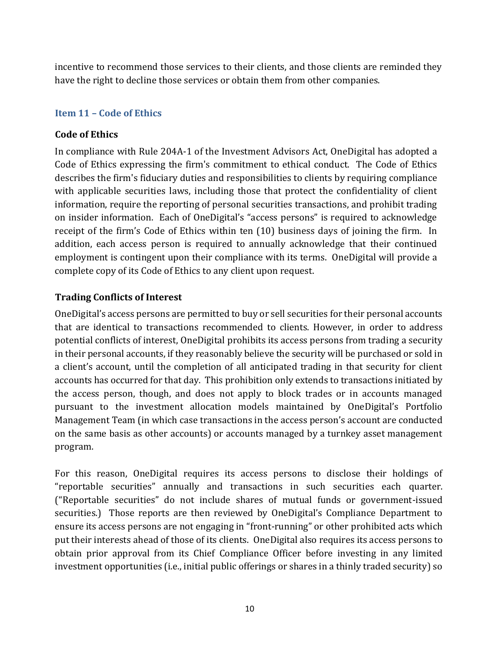incentive to recommend those services to their clients, and those clients are reminded they have the right to decline those services or obtain them from other companies.

#### **Item 11 – Code of Ethics**

#### **Code of Ethics**

In compliance with Rule 204A-1 of the Investment Advisors Act, OneDigital has adopted a Code of Ethics expressing the firm's commitment to ethical conduct. The Code of Ethics describes the firm's fiduciary duties and responsibilities to clients by requiring compliance with applicable securities laws, including those that protect the confidentiality of client information, require the reporting of personal securities transactions, and prohibit trading on insider information. Each of OneDigital's "access persons" is required to acknowledge receipt of the firm's Code of Ethics within ten (10) business days of joining the firm. In addition, each access person is required to annually acknowledge that their continued employment is contingent upon their compliance with its terms. OneDigital will provide a complete copy of its Code of Ethics to any client upon request.

#### **Trading Conflicts of Interest**

OneDigital's access persons are permitted to buy or sell securities for their personal accounts that are identical to transactions recommended to clients. However, in order to address potential conflicts of interest, OneDigital prohibits its access persons from trading a security in their personal accounts, if they reasonably believe the security will be purchased or sold in a client's account, until the completion of all anticipated trading in that security for client accounts has occurred for that day. This prohibition only extends to transactions initiated by the access person, though, and does not apply to block trades or in accounts managed pursuant to the investment allocation models maintained by OneDigital's Portfolio Management Team (in which case transactions in the access person's account are conducted on the same basis as other accounts) or accounts managed by a turnkey asset management program.

For this reason, OneDigital requires its access persons to disclose their holdings of "reportable securities" annually and transactions in such securities each quarter. ("Reportable securities" do not include shares of mutual funds or government-issued securities.) Those reports are then reviewed by OneDigital's Compliance Department to ensure its access persons are not engaging in "front-running" or other prohibited acts which put their interests ahead of those of its clients. OneDigital also requires its access persons to obtain prior approval from its Chief Compliance Officer before investing in any limited investment opportunities (i.e., initial public offerings or shares in a thinly traded security) so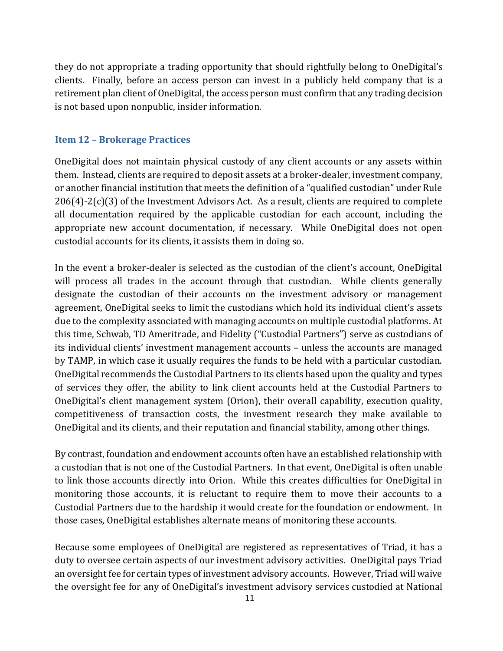they do not appropriate a trading opportunity that should rightfully belong to OneDigital's clients. Finally, before an access person can invest in a publicly held company that is a retirement plan client of OneDigital, the access person must confirm that any trading decision is not based upon nonpublic, insider information.

#### <span id="page-14-0"></span>**Item 12 – Brokerage Practices**

OneDigital does not maintain physical custody of any client accounts or any assets within them. Instead, clients are required to deposit assets at a broker-dealer, investment company, or another financial institution that meets the definition of a "qualified custodian" under Rule  $206(4)$ - $2(c)(3)$  of the Investment Advisors Act. As a result, clients are required to complete all documentation required by the applicable custodian for each account, including the appropriate new account documentation, if necessary. While OneDigital does not open custodial accounts for its clients, it assists them in doing so.

In the event a broker-dealer is selected as the custodian of the client's account, OneDigital will process all trades in the account through that custodian. While clients generally designate the custodian of their accounts on the investment advisory or management agreement, OneDigital seeks to limit the custodians which hold its individual client's assets due to the complexity associated with managing accounts on multiple custodial platforms. At this time, Schwab, TD Ameritrade, and Fidelity ("Custodial Partners") serve as custodians of its individual clients' investment management accounts – unless the accounts are managed by TAMP, in which case it usually requires the funds to be held with a particular custodian. OneDigital recommends the Custodial Partners to its clients based upon the quality and types of services they offer, the ability to link client accounts held at the Custodial Partners to OneDigital's client management system (Orion), their overall capability, execution quality, competitiveness of transaction costs, the investment research they make available to OneDigital and its clients, and their reputation and financial stability, among other things.

By contrast, foundation and endowment accounts often have an established relationship with a custodian that is not one of the Custodial Partners. In that event, OneDigital is often unable to link those accounts directly into Orion. While this creates difficulties for OneDigital in monitoring those accounts, it is reluctant to require them to move their accounts to a Custodial Partners due to the hardship it would create for the foundation or endowment. In those cases, OneDigital establishes alternate means of monitoring these accounts.

Because some employees of OneDigital are registered as representatives of Triad, it has a duty to oversee certain aspects of our investment advisory activities. OneDigital pays Triad an oversight fee for certain types of investment advisory accounts. However, Triad will waive the oversight fee for any of OneDigital's investment advisory services custodied at National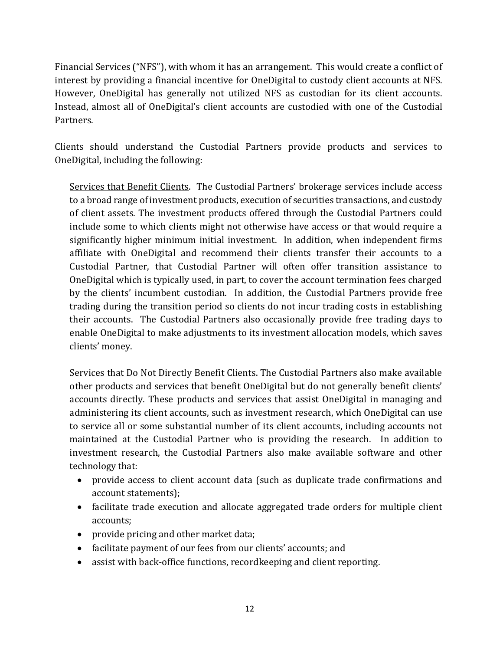Financial Services ("NFS"), with whom it has an arrangement. This would create a conflict of interest by providing a financial incentive for OneDigital to custody client accounts at NFS. However, OneDigital has generally not utilized NFS as custodian for its client accounts. Instead, almost all of OneDigital's client accounts are custodied with one of the Custodial Partners.

Clients should understand the Custodial Partners provide products and services to OneDigital, including the following:

Services that Benefit Clients. The Custodial Partners' brokerage services include access to a broad range of investment products, execution of securities transactions, and custody of client assets. The investment products offered through the Custodial Partners could include some to which clients might not otherwise have access or that would require a significantly higher minimum initial investment. In addition, when independent firms affiliate with OneDigital and recommend their clients transfer their accounts to a Custodial Partner, that Custodial Partner will often offer transition assistance to OneDigital which is typically used, in part, to cover the account termination fees charged by the clients' incumbent custodian. In addition, the Custodial Partners provide free trading during the transition period so clients do not incur trading costs in establishing their accounts. The Custodial Partners also occasionally provide free trading days to enable OneDigital to make adjustments to its investment allocation models, which saves clients' money.

Services that Do Not Directly Benefit Clients. The Custodial Partners also make available other products and services that benefit OneDigital but do not generally benefit clients' accounts directly. These products and services that assist OneDigital in managing and administering its client accounts, such as investment research, which OneDigital can use to service all or some substantial number of its client accounts, including accounts not maintained at the Custodial Partner who is providing the research. In addition to investment research, the Custodial Partners also make available software and other technology that:

- provide access to client account data (such as duplicate trade confirmations and account statements);
- facilitate trade execution and allocate aggregated trade orders for multiple client accounts;
- provide pricing and other market data;
- facilitate payment of our fees from our clients' accounts; and
- assist with back-office functions, recordkeeping and client reporting.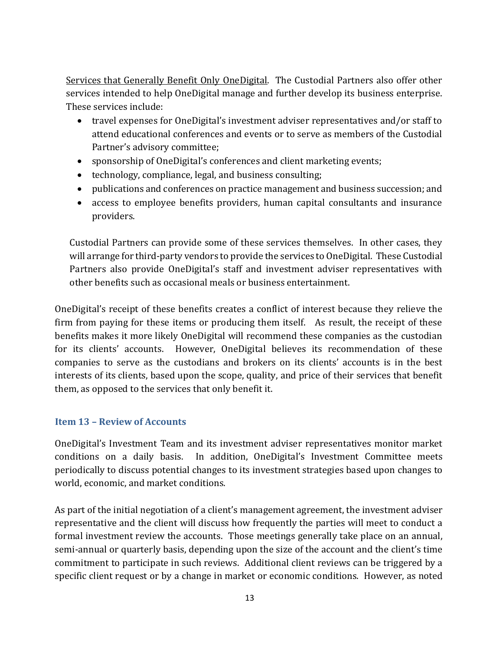Services that Generally Benefit Only OneDigital. The Custodial Partners also offer other services intended to help OneDigital manage and further develop its business enterprise. These services include:

- travel expenses for OneDigital's investment adviser representatives and/or staff to attend educational conferences and events or to serve as members of the Custodial Partner's advisory committee;
- sponsorship of OneDigital's conferences and client marketing events;
- technology, compliance, legal, and business consulting;
- publications and conferences on practice management and business succession; and
- access to employee benefits providers, human capital consultants and insurance providers.

Custodial Partners can provide some of these services themselves. In other cases, they will arrange for third-party vendors to provide the services to OneDigital. These Custodial Partners also provide OneDigital's staff and investment adviser representatives with other benefits such as occasional meals or business entertainment.

OneDigital's receipt of these benefits creates a conflict of interest because they relieve the firm from paying for these items or producing them itself. As result, the receipt of these benefits makes it more likely OneDigital will recommend these companies as the custodian for its clients' accounts. However, OneDigital believes its recommendation of these companies to serve as the custodians and brokers on its clients' accounts is in the best interests of its clients, based upon the scope, quality, and price of their services that benefit them, as opposed to the services that only benefit it.

#### <span id="page-16-0"></span>**Item 13 – Review of Accounts**

OneDigital's Investment Team and its investment adviser representatives monitor market conditions on a daily basis. In addition, OneDigital's Investment Committee meets periodically to discuss potential changes to its investment strategies based upon changes to world, economic, and market conditions.

As part of the initial negotiation of a client's management agreement, the investment adviser representative and the client will discuss how frequently the parties will meet to conduct a formal investment review the accounts. Those meetings generally take place on an annual, semi-annual or quarterly basis, depending upon the size of the account and the client's time commitment to participate in such reviews. Additional client reviews can be triggered by a specific client request or by a change in market or economic conditions. However, as noted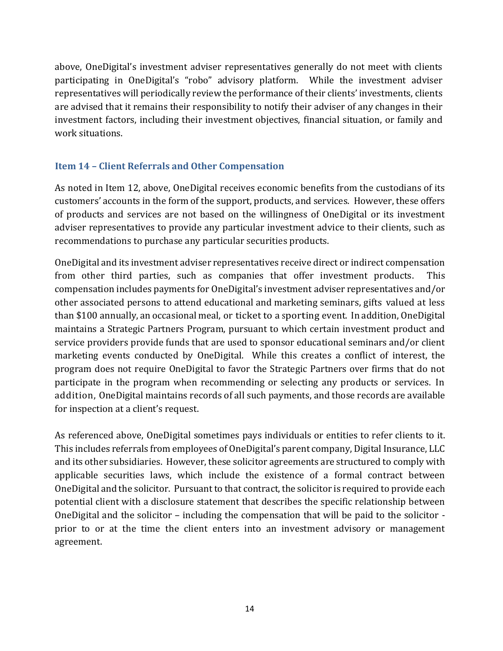above, OneDigital's investment adviser representatives generally do not meet with clients participating in OneDigital's "robo" advisory platform. While the investment adviser representatives will periodically review the performance of their clients' investments, clients are advised that it remains their responsibility to notify their adviser of any changes in their investment factors, including their investment objectives, financial situation, or family and work situations.

#### <span id="page-17-0"></span>**Item 14 – Client Referrals and Other Compensation**

As noted in Item 12, above, OneDigital receives economic benefits from the custodians of its customers' accounts in the form of the support, products, and services. However, these offers of products and services are not based on the willingness of OneDigital or its investment adviser representatives to provide any particular investment advice to their clients, such as recommendations to purchase any particular securities products.

OneDigital and its investment adviser representatives receive direct or indirect compensation from other third parties, such as companies that offer investment products. This compensation includes payments for OneDigital's investment adviser representatives and/or other associated persons to attend educational and marketing seminars, gifts valued at less than \$100 annually, an occasional meal, or ticket to a sporting event. In addition, OneDigital maintains a Strategic Partners Program, pursuant to which certain investment product and service providers provide funds that are used to sponsor educational seminars and/or client marketing events conducted by OneDigital. While this creates a conflict of interest, the program does not require OneDigital to favor the Strategic Partners over firms that do not participate in the program when recommending or selecting any products or services. In addition, OneDigital maintains records of all such payments, and those records are available for inspection at a client's request.

As referenced above, OneDigital sometimes pays individuals or entities to refer clients to it. This includes referrals from employees of OneDigital's parent company, Digital Insurance, LLC and its other subsidiaries. However, these solicitor agreements are structured to comply with applicable securities laws, which include the existence of a formal contract between OneDigital and the solicitor. Pursuant to that contract, the solicitor is required to provide each potential client with a disclosure statement that describes the specific relationship between OneDigital and the solicitor – including the compensation that will be paid to the solicitor prior to or at the time the client enters into an investment advisory or management agreement.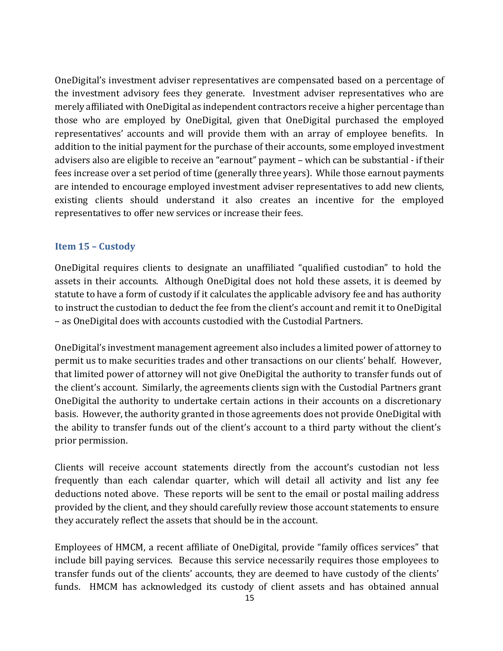OneDigital's investment adviser representatives are compensated based on a percentage of the investment advisory fees they generate. Investment adviser representatives who are merely affiliated with OneDigital as independent contractors receive a higher percentage than those who are employed by OneDigital, given that OneDigital purchased the employed representatives' accounts and will provide them with an array of employee benefits. In addition to the initial payment for the purchase of their accounts, some employed investment advisers also are eligible to receive an "earnout" payment – which can be substantial - if their fees increase over a set period of time (generally three years). While those earnout payments are intended to encourage employed investment adviser representatives to add new clients, existing clients should understand it also creates an incentive for the employed representatives to offer new services or increase their fees.

#### <span id="page-18-0"></span>**Item 15 – Custody**

OneDigital requires clients to designate an unaffiliated "qualified custodian" to hold the assets in their accounts. Although OneDigital does not hold these assets, it is deemed by statute to have a form of custody if it calculates the applicable advisory fee and has authority to instruct the custodian to deduct the fee from the client's account and remit it to OneDigital – as OneDigital does with accounts custodied with the Custodial Partners.

OneDigital's investment management agreement also includes a limited power of attorney to permit us to make securities trades and other transactions on our clients' behalf. However, that limited power of attorney will not give OneDigital the authority to transfer funds out of the client's account. Similarly, the agreements clients sign with the Custodial Partners grant OneDigital the authority to undertake certain actions in their accounts on a discretionary basis. However, the authority granted in those agreements does not provide OneDigital with the ability to transfer funds out of the client's account to a third party without the client's prior permission.

Clients will receive account statements directly from the account's custodian not less frequently than each calendar quarter, which will detail all activity and list any fee deductions noted above. These reports will be sent to the email or postal mailing address provided by the client, and they should carefully review those account statements to ensure they accurately reflect the assets that should be in the account.

Employees of HMCM, a recent affiliate of OneDigital, provide "family offices services" that include bill paying services. Because this service necessarily requires those employees to transfer funds out of the clients' accounts, they are deemed to have custody of the clients' funds. HMCM has acknowledged its custody of client assets and has obtained annual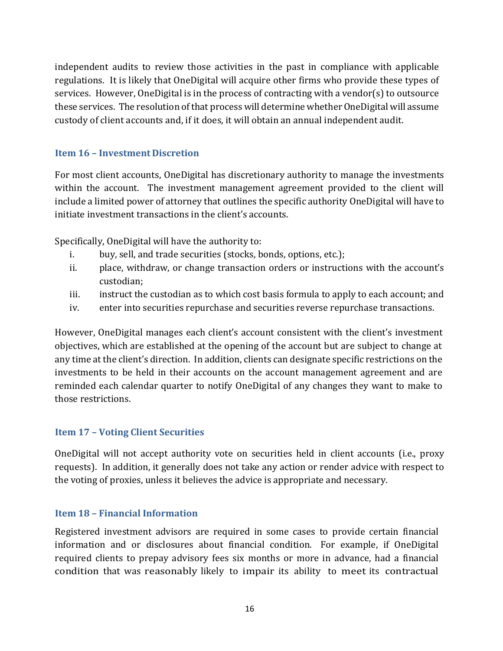independent audits to review those activities in the past in compliance with applicable regulations. It is likely that OneDigital will acquire other firms who provide these types of services. However, OneDigital is in the process of contracting with a vendor(s) to outsource these services. The resolution of that process will determine whether OneDigital will assume custody of client accounts and, if it does, it will obtain an annual independent audit.

#### <span id="page-19-0"></span>**Item 16 – Investment Discretion**

For most client accounts, OneDigital has discretionary authority to manage the investments within the account. The investment management agreement provided to the client will include a limited power of attorney that outlines the specific authority OneDigital will have to initiate investment transactions in the client's accounts.

Specifically, OneDigital will have the authority to:

- i. buy, sell, and trade securities (stocks, bonds, options, etc.);
- ii. place, withdraw, or change transaction orders or instructions with the account's custodian;
- iii. instruct the custodian as to which cost basis formula to apply to each account; and
- iv. enter into securities repurchase and securities reverse repurchase transactions.

However, OneDigital manages each client's account consistent with the client's investment objectives, which are established at the opening of the account but are subject to change at any time at the client's direction. In addition, clients can designate specific restrictions on the investments to be held in their accounts on the account management agreement and are reminded each calendar quarter to notify OneDigital of any changes they want to make to those restrictions.

#### <span id="page-19-1"></span>**Item 17 – Voting Client Securities**

OneDigital will not accept authority vote on securities held in client accounts (i.e., proxy requests). In addition, it generally does not take any action or render advice with respect to the voting of proxies, unless it believes the advice is appropriate and necessary.

#### **Item 18 – Financial Information**

Registered investment advisors are required in some cases to provide certain financial information and or disclosures about financial condition. For example, if OneDigital required clients to prepay advisory fees six months or more in advance, had a financial condition that was reasonably likely to impair its ability to meet its contractual